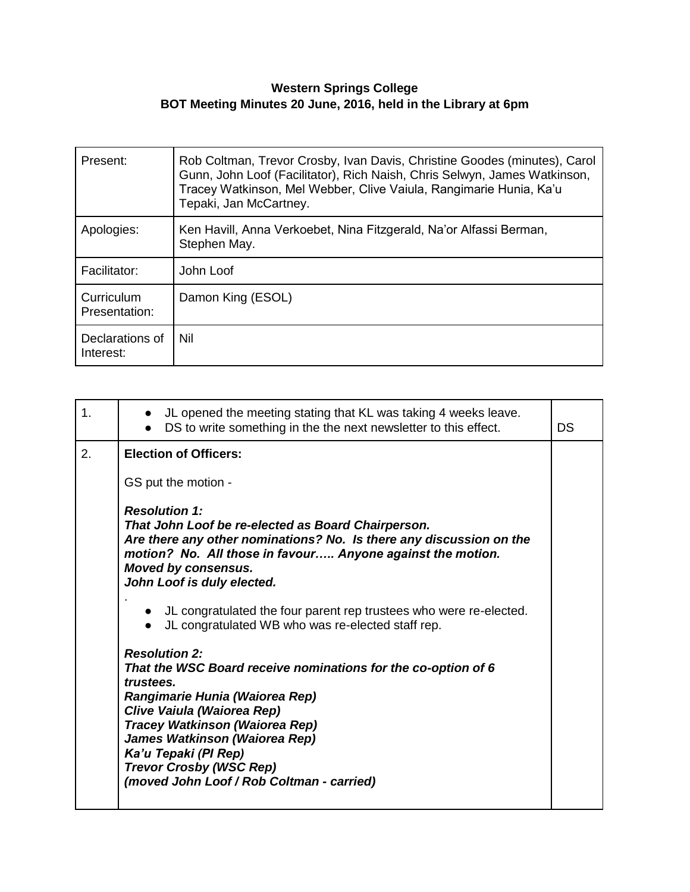## **Western Springs College BOT Meeting Minutes 20 June, 2016, held in the Library at 6pm**

| Present:                     | Rob Coltman, Trevor Crosby, Ivan Davis, Christine Goodes (minutes), Carol<br>Gunn, John Loof (Facilitator), Rich Naish, Chris Selwyn, James Watkinson,<br>Tracey Watkinson, Mel Webber, Clive Vaiula, Rangimarie Hunia, Ka'u<br>Tepaki, Jan McCartney. |
|------------------------------|--------------------------------------------------------------------------------------------------------------------------------------------------------------------------------------------------------------------------------------------------------|
| Apologies:                   | Ken Havill, Anna Verkoebet, Nina Fitzgerald, Na'or Alfassi Berman,<br>Stephen May.                                                                                                                                                                     |
| Facilitator:                 | John Loof                                                                                                                                                                                                                                              |
| Curriculum<br>Presentation:  | Damon King (ESOL)                                                                                                                                                                                                                                      |
| Declarations of<br>Interest: | Nil                                                                                                                                                                                                                                                    |

| 1. | • JL opened the meeting stating that KL was taking 4 weeks leave.<br>DS to write something in the the next newsletter to this effect.<br>$\bullet$                                                                                                                                                                                           | DS |
|----|----------------------------------------------------------------------------------------------------------------------------------------------------------------------------------------------------------------------------------------------------------------------------------------------------------------------------------------------|----|
| 2. | <b>Election of Officers:</b>                                                                                                                                                                                                                                                                                                                 |    |
|    | GS put the motion -                                                                                                                                                                                                                                                                                                                          |    |
|    | <b>Resolution 1:</b><br>That John Loof be re-elected as Board Chairperson.<br>Are there any other nominations? No. Is there any discussion on the<br>motion? No. All those in favour Anyone against the motion.<br><b>Moved by consensus.</b><br>John Loof is duly elected.                                                                  |    |
|    | JL congratulated the four parent rep trustees who were re-elected.<br>JL congratulated WB who was re-elected staff rep.<br>$\bullet$                                                                                                                                                                                                         |    |
|    | <b>Resolution 2:</b><br>That the WSC Board receive nominations for the co-option of 6<br>trustees.<br>Rangimarie Hunia (Waiorea Rep)<br>Clive Vaiula (Waiorea Rep)<br>Tracey Watkinson (Waiorea Rep)<br>James Watkinson (Waiorea Rep)<br>Ka'u Tepaki (PI Rep)<br><b>Trevor Crosby (WSC Rep)</b><br>(moved John Loof / Rob Coltman - carried) |    |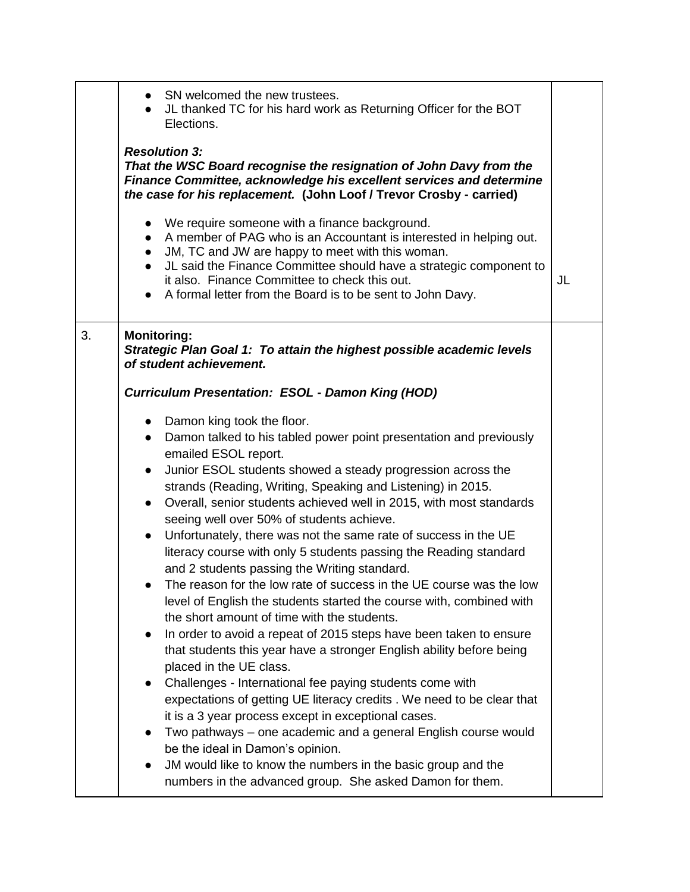|    | • SN welcomed the new trustees.<br>• JL thanked TC for his hard work as Returning Officer for the BOT<br>Elections.<br><b>Resolution 3:</b><br>That the WSC Board recognise the resignation of John Davy from the<br>Finance Committee, acknowledge his excellent services and determine<br>the case for his replacement. (John Loof / Trevor Crosby - carried)<br>• We require someone with a finance background.<br>A member of PAG who is an Accountant is interested in helping out.<br>$\bullet$<br>JM, TC and JW are happy to meet with this woman.<br>$\bullet$<br>JL said the Finance Committee should have a strategic component to<br>it also. Finance Committee to check this out.<br>A formal letter from the Board is to be sent to John Davy.                                                                                                                                                                                                                                                                                                                                                                                                                                                                                                                                                                                                                                                                                 | JL |
|----|---------------------------------------------------------------------------------------------------------------------------------------------------------------------------------------------------------------------------------------------------------------------------------------------------------------------------------------------------------------------------------------------------------------------------------------------------------------------------------------------------------------------------------------------------------------------------------------------------------------------------------------------------------------------------------------------------------------------------------------------------------------------------------------------------------------------------------------------------------------------------------------------------------------------------------------------------------------------------------------------------------------------------------------------------------------------------------------------------------------------------------------------------------------------------------------------------------------------------------------------------------------------------------------------------------------------------------------------------------------------------------------------------------------------------------------------|----|
| 3. | <b>Monitoring:</b><br>Strategic Plan Goal 1: To attain the highest possible academic levels<br>of student achievement.                                                                                                                                                                                                                                                                                                                                                                                                                                                                                                                                                                                                                                                                                                                                                                                                                                                                                                                                                                                                                                                                                                                                                                                                                                                                                                                      |    |
|    | <b>Curriculum Presentation: ESOL - Damon King (HOD)</b>                                                                                                                                                                                                                                                                                                                                                                                                                                                                                                                                                                                                                                                                                                                                                                                                                                                                                                                                                                                                                                                                                                                                                                                                                                                                                                                                                                                     |    |
|    | • Damon king took the floor.<br>Damon talked to his tabled power point presentation and previously<br>$\bullet$<br>emailed ESOL report.<br>Junior ESOL students showed a steady progression across the<br>$\bullet$<br>strands (Reading, Writing, Speaking and Listening) in 2015.<br>Overall, senior students achieved well in 2015, with most standards<br>$\bullet$<br>seeing well over 50% of students achieve.<br>Unfortunately, there was not the same rate of success in the UE<br>$\bullet$<br>literacy course with only 5 students passing the Reading standard<br>and 2 students passing the Writing standard.<br>The reason for the low rate of success in the UE course was the low<br>level of English the students started the course with, combined with<br>the short amount of time with the students.<br>In order to avoid a repeat of 2015 steps have been taken to ensure<br>$\bullet$<br>that students this year have a stronger English ability before being<br>placed in the UE class.<br>Challenges - International fee paying students come with<br>expectations of getting UE literacy credits . We need to be clear that<br>it is a 3 year process except in exceptional cases.<br>Two pathways – one academic and a general English course would<br>be the ideal in Damon's opinion.<br>JM would like to know the numbers in the basic group and the<br>numbers in the advanced group. She asked Damon for them. |    |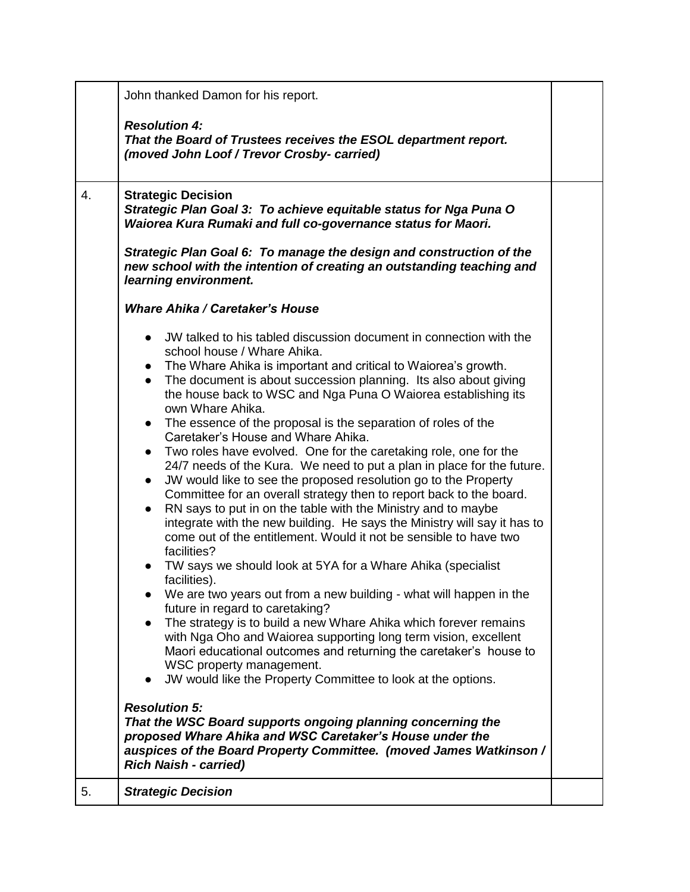|    | John thanked Damon for his report.                                                                                                                                                                                                                                                                                                                                                                                                                                                                                                                                                                                                                                                                                                                                                                                                                                                                                                                                                                                                                                                                                                                                                                                                                                                                                                                                                                                                                                                                                                                                     |  |
|----|------------------------------------------------------------------------------------------------------------------------------------------------------------------------------------------------------------------------------------------------------------------------------------------------------------------------------------------------------------------------------------------------------------------------------------------------------------------------------------------------------------------------------------------------------------------------------------------------------------------------------------------------------------------------------------------------------------------------------------------------------------------------------------------------------------------------------------------------------------------------------------------------------------------------------------------------------------------------------------------------------------------------------------------------------------------------------------------------------------------------------------------------------------------------------------------------------------------------------------------------------------------------------------------------------------------------------------------------------------------------------------------------------------------------------------------------------------------------------------------------------------------------------------------------------------------------|--|
|    | <b>Resolution 4:</b><br>That the Board of Trustees receives the ESOL department report.<br>(moved John Loof / Trevor Crosby- carried)                                                                                                                                                                                                                                                                                                                                                                                                                                                                                                                                                                                                                                                                                                                                                                                                                                                                                                                                                                                                                                                                                                                                                                                                                                                                                                                                                                                                                                  |  |
| 4. | <b>Strategic Decision</b><br>Strategic Plan Goal 3: To achieve equitable status for Nga Puna O<br>Waiorea Kura Rumaki and full co-governance status for Maori.                                                                                                                                                                                                                                                                                                                                                                                                                                                                                                                                                                                                                                                                                                                                                                                                                                                                                                                                                                                                                                                                                                                                                                                                                                                                                                                                                                                                         |  |
|    | Strategic Plan Goal 6: To manage the design and construction of the<br>new school with the intention of creating an outstanding teaching and<br>learning environment.                                                                                                                                                                                                                                                                                                                                                                                                                                                                                                                                                                                                                                                                                                                                                                                                                                                                                                                                                                                                                                                                                                                                                                                                                                                                                                                                                                                                  |  |
|    | <b>Whare Ahika / Caretaker's House</b>                                                                                                                                                                                                                                                                                                                                                                                                                                                                                                                                                                                                                                                                                                                                                                                                                                                                                                                                                                                                                                                                                                                                                                                                                                                                                                                                                                                                                                                                                                                                 |  |
|    | JW talked to his tabled discussion document in connection with the<br>$\bullet$<br>school house / Whare Ahika.<br>• The Whare Ahika is important and critical to Waiorea's growth.<br>The document is about succession planning. Its also about giving<br>$\bullet$<br>the house back to WSC and Nga Puna O Waiorea establishing its<br>own Whare Ahika.<br>The essence of the proposal is the separation of roles of the<br>$\bullet$<br>Caretaker's House and Whare Ahika.<br>Two roles have evolved. One for the caretaking role, one for the<br>$\bullet$<br>24/7 needs of the Kura. We need to put a plan in place for the future.<br>JW would like to see the proposed resolution go to the Property<br>$\bullet$<br>Committee for an overall strategy then to report back to the board.<br>RN says to put in on the table with the Ministry and to maybe<br>$\bullet$<br>integrate with the new building. He says the Ministry will say it has to<br>come out of the entitlement. Would it not be sensible to have two<br>facilities?<br>TW says we should look at 5YA for a Whare Ahika (specialist<br>facilities).<br>We are two years out from a new building - what will happen in the<br>future in regard to caretaking?<br>The strategy is to build a new Whare Ahika which forever remains<br>$\bullet$<br>with Nga Oho and Waiorea supporting long term vision, excellent<br>Maori educational outcomes and returning the caretaker's house to<br>WSC property management.<br>JW would like the Property Committee to look at the options.<br>$\bullet$ |  |
|    | <b>Resolution 5:</b><br>That the WSC Board supports ongoing planning concerning the<br>proposed Whare Ahika and WSC Caretaker's House under the<br>auspices of the Board Property Committee. (moved James Watkinson /<br><b>Rich Naish - carried)</b>                                                                                                                                                                                                                                                                                                                                                                                                                                                                                                                                                                                                                                                                                                                                                                                                                                                                                                                                                                                                                                                                                                                                                                                                                                                                                                                  |  |
| 5. | <b>Strategic Decision</b>                                                                                                                                                                                                                                                                                                                                                                                                                                                                                                                                                                                                                                                                                                                                                                                                                                                                                                                                                                                                                                                                                                                                                                                                                                                                                                                                                                                                                                                                                                                                              |  |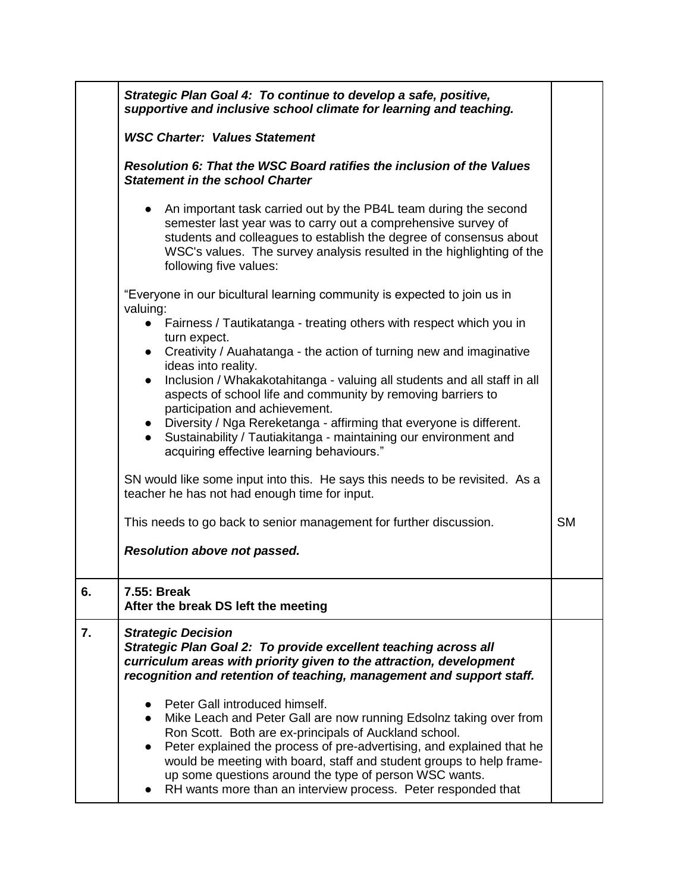|    | Strategic Plan Goal 4: To continue to develop a safe, positive,<br>supportive and inclusive school climate for learning and teaching.                                                                                                                                                                                                                                                                                                                  |           |
|----|--------------------------------------------------------------------------------------------------------------------------------------------------------------------------------------------------------------------------------------------------------------------------------------------------------------------------------------------------------------------------------------------------------------------------------------------------------|-----------|
|    | <b>WSC Charter: Values Statement</b>                                                                                                                                                                                                                                                                                                                                                                                                                   |           |
|    | Resolution 6: That the WSC Board ratifies the inclusion of the Values<br><b>Statement in the school Charter</b>                                                                                                                                                                                                                                                                                                                                        |           |
|    | An important task carried out by the PB4L team during the second<br>$\bullet$<br>semester last year was to carry out a comprehensive survey of<br>students and colleagues to establish the degree of consensus about<br>WSC's values. The survey analysis resulted in the highlighting of the<br>following five values:                                                                                                                                |           |
|    | "Everyone in our bicultural learning community is expected to join us in<br>valuing:                                                                                                                                                                                                                                                                                                                                                                   |           |
|    | • Fairness / Tautikatanga - treating others with respect which you in<br>turn expect.                                                                                                                                                                                                                                                                                                                                                                  |           |
|    | • Creativity / Auahatanga - the action of turning new and imaginative<br>ideas into reality.                                                                                                                                                                                                                                                                                                                                                           |           |
|    | Inclusion / Whakakotahitanga - valuing all students and all staff in all<br>$\bullet$<br>aspects of school life and community by removing barriers to<br>participation and achievement.                                                                                                                                                                                                                                                                |           |
|    | • Diversity / Nga Rereketanga - affirming that everyone is different.<br>• Sustainability / Tautiakitanga - maintaining our environment and<br>acquiring effective learning behaviours."                                                                                                                                                                                                                                                               |           |
|    | SN would like some input into this. He says this needs to be revisited. As a<br>teacher he has not had enough time for input.                                                                                                                                                                                                                                                                                                                          |           |
|    | This needs to go back to senior management for further discussion.                                                                                                                                                                                                                                                                                                                                                                                     | <b>SM</b> |
|    | Resolution above not passed.                                                                                                                                                                                                                                                                                                                                                                                                                           |           |
| 6. | 7.55: Break<br>After the break DS left the meeting                                                                                                                                                                                                                                                                                                                                                                                                     |           |
| 7. | <b>Strategic Decision</b><br>Strategic Plan Goal 2: To provide excellent teaching across all<br>curriculum areas with priority given to the attraction, development<br>recognition and retention of teaching, management and support staff.                                                                                                                                                                                                            |           |
|    | Peter Gall introduced himself.<br>Mike Leach and Peter Gall are now running Edsolnz taking over from<br>Ron Scott. Both are ex-principals of Auckland school.<br>Peter explained the process of pre-advertising, and explained that he<br>$\bullet$<br>would be meeting with board, staff and student groups to help frame-<br>up some questions around the type of person WSC wants.<br>RH wants more than an interview process. Peter responded that |           |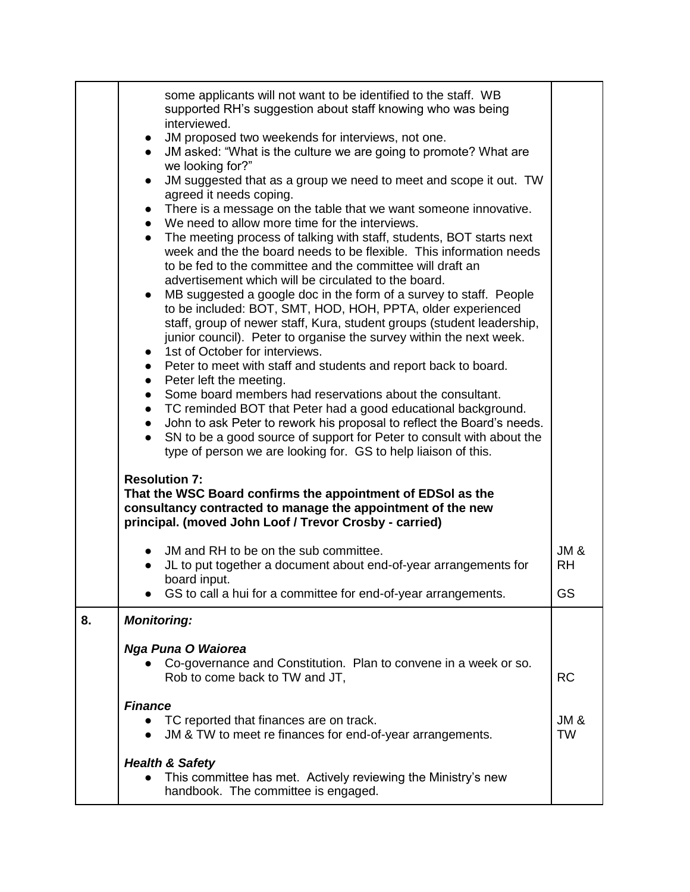|    | some applicants will not want to be identified to the staff. WB<br>supported RH's suggestion about staff knowing who was being<br>interviewed.<br>JM proposed two weekends for interviews, not one.<br>$\bullet$<br>JM asked: "What is the culture we are going to promote? What are<br>$\bullet$<br>we looking for?"<br>JM suggested that as a group we need to meet and scope it out. TW<br>$\bullet$<br>agreed it needs coping.<br>There is a message on the table that we want someone innovative.<br>$\bullet$<br>• We need to allow more time for the interviews.<br>The meeting process of talking with staff, students, BOT starts next<br>$\bullet$<br>week and the the board needs to be flexible. This information needs<br>to be fed to the committee and the committee will draft an<br>advertisement which will be circulated to the board.<br>MB suggested a google doc in the form of a survey to staff. People<br>to be included: BOT, SMT, HOD, HOH, PPTA, older experienced<br>staff, group of newer staff, Kura, student groups (student leadership,<br>junior council). Peter to organise the survey within the next week.<br>1st of October for interviews.<br>$\bullet$<br>• Peter to meet with staff and students and report back to board.<br>• Peter left the meeting.<br>• Some board members had reservations about the consultant.<br>TC reminded BOT that Peter had a good educational background. |                              |
|----|----------------------------------------------------------------------------------------------------------------------------------------------------------------------------------------------------------------------------------------------------------------------------------------------------------------------------------------------------------------------------------------------------------------------------------------------------------------------------------------------------------------------------------------------------------------------------------------------------------------------------------------------------------------------------------------------------------------------------------------------------------------------------------------------------------------------------------------------------------------------------------------------------------------------------------------------------------------------------------------------------------------------------------------------------------------------------------------------------------------------------------------------------------------------------------------------------------------------------------------------------------------------------------------------------------------------------------------------------------------------------------------------------------------------------------|------------------------------|
|    | John to ask Peter to rework his proposal to reflect the Board's needs.<br>$\bullet$                                                                                                                                                                                                                                                                                                                                                                                                                                                                                                                                                                                                                                                                                                                                                                                                                                                                                                                                                                                                                                                                                                                                                                                                                                                                                                                                              |                              |
|    | SN to be a good source of support for Peter to consult with about the<br>$\bullet$<br>type of person we are looking for. GS to help liaison of this.                                                                                                                                                                                                                                                                                                                                                                                                                                                                                                                                                                                                                                                                                                                                                                                                                                                                                                                                                                                                                                                                                                                                                                                                                                                                             |                              |
|    | <b>Resolution 7:</b><br>That the WSC Board confirms the appointment of EDSol as the<br>consultancy contracted to manage the appointment of the new<br>principal. (moved John Loof / Trevor Crosby - carried)                                                                                                                                                                                                                                                                                                                                                                                                                                                                                                                                                                                                                                                                                                                                                                                                                                                                                                                                                                                                                                                                                                                                                                                                                     |                              |
|    | JM and RH to be on the sub committee.<br>$\bullet$<br>JL to put together a document about end-of-year arrangements for                                                                                                                                                                                                                                                                                                                                                                                                                                                                                                                                                                                                                                                                                                                                                                                                                                                                                                                                                                                                                                                                                                                                                                                                                                                                                                           | <b>JM &amp;</b><br><b>RH</b> |
|    | board input.<br>GS to call a hui for a committee for end-of-year arrangements.                                                                                                                                                                                                                                                                                                                                                                                                                                                                                                                                                                                                                                                                                                                                                                                                                                                                                                                                                                                                                                                                                                                                                                                                                                                                                                                                                   | GS                           |
| 8. | <b>Monitoring:</b>                                                                                                                                                                                                                                                                                                                                                                                                                                                                                                                                                                                                                                                                                                                                                                                                                                                                                                                                                                                                                                                                                                                                                                                                                                                                                                                                                                                                               |                              |
|    | <b>Nga Puna O Waiorea</b>                                                                                                                                                                                                                                                                                                                                                                                                                                                                                                                                                                                                                                                                                                                                                                                                                                                                                                                                                                                                                                                                                                                                                                                                                                                                                                                                                                                                        |                              |
|    | Co-governance and Constitution. Plan to convene in a week or so.<br>Rob to come back to TW and JT,                                                                                                                                                                                                                                                                                                                                                                                                                                                                                                                                                                                                                                                                                                                                                                                                                                                                                                                                                                                                                                                                                                                                                                                                                                                                                                                               | <b>RC</b>                    |
|    | <b>Finance</b><br>TC reported that finances are on track.<br>$\bullet$<br>JM & TW to meet re finances for end-of-year arrangements.<br>$\bullet$                                                                                                                                                                                                                                                                                                                                                                                                                                                                                                                                                                                                                                                                                                                                                                                                                                                                                                                                                                                                                                                                                                                                                                                                                                                                                 | $JM$ &<br><b>TW</b>          |
|    | <b>Health &amp; Safety</b><br>This committee has met. Actively reviewing the Ministry's new<br>handbook. The committee is engaged.                                                                                                                                                                                                                                                                                                                                                                                                                                                                                                                                                                                                                                                                                                                                                                                                                                                                                                                                                                                                                                                                                                                                                                                                                                                                                               |                              |